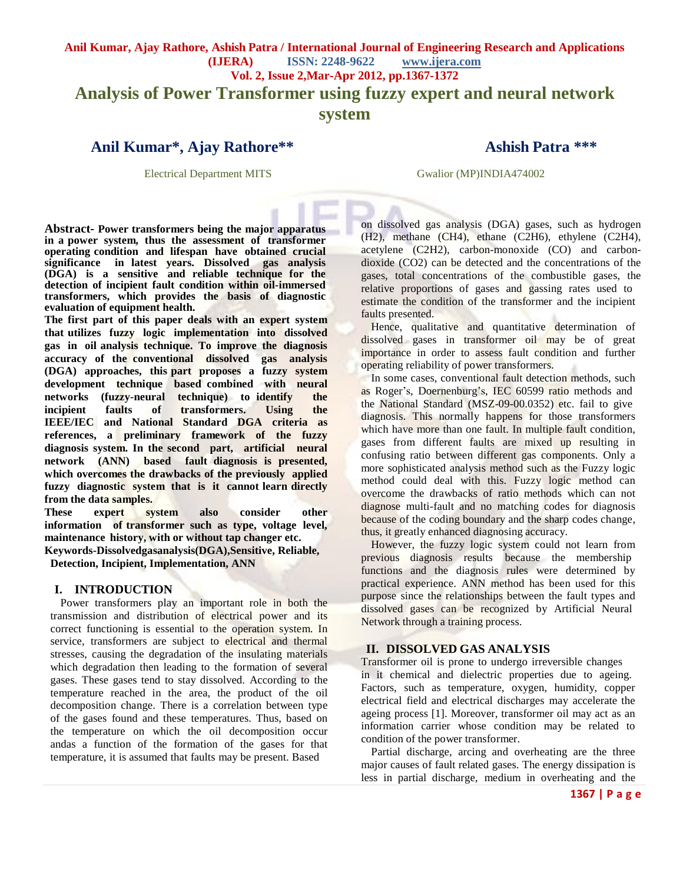# **Anil Kumar, Ajay Rathore, Ashish Patra / International Journal of Engineering Research and Applications (IJERA) ISSN: 2248-9622 www.ijera.com Vol. 2, Issue 2,Mar-Apr 2012, pp.1367-1372 Analysis of Power Transformer using fuzzy expert and neural network system**

# Anil Kumar\*, Ajay Rathore\*\* **Ashish Patra** \*\*\*

Electrical Department MITS Gwalior (MP)INDIA474002

**Abstract- Power transformers being the major apparatus in a power system, thus the assessment of transformer operating condition and lifespan have obtained crucial significance in latest years. Dissolved gas analysis (DGA) is a sensitive and reliable technique for the detection of incipient fault condition within oil-immersed transformers, which provides the basis of diagnostic evaluation of equipment health.**

**The first part of this paper deals with an expert system that utilizes fuzzy logic implementation into dissolved gas in oil analysis technique. To improve the diagnosis accuracy of the conventional dissolved gas analysis (DGA) approaches, this part proposes a fuzzy system development technique based combined with neural networks (fuzzy-neural technique) to identify the incipient faults of transformers. Using the IEEE/IEC and National Standard DGA criteria as references, a preliminary framework of the fuzzy diagnosis system. In the second part, artificial neural network (ANN) based fault diagnosis is presented, which overcomes the drawbacks of the previously applied fuzzy diagnostic system that is it cannot learn directly from the data samples.**

**These expert system also consider other information of transformer such as type, voltage level, maintenance history, with or without tap changer etc. Keywords-Dissolvedgasanalysis(DGA),Sensitive, Reliable,**

**Detection, Incipient, Implementation, ANN**

#### **I. INTRODUCTION**

Power transformers play an important role in both the transmission and distribution of electrical power and its correct functioning is essential to the operation system. In service, transformers are subject to electrical and thermal stresses, causing the degradation of the insulating materials which degradation then leading to the formation of several gases. These gases tend to stay dissolved. According to the temperature reached in the area, the product of the oil decomposition change. There is a correlation between type of the gases found and these temperatures. Thus, based on the temperature on which the oil decomposition occur andas a function of the formation of the gases for that temperature, it is assumed that faults may be present. Based

on dissolved gas analysis (DGA) gases, such as hydrogen (H2), methane (CH4), ethane (C2H6), ethylene (C2H4), acetylene (C2H2), carbon-monoxide (CO) and carbondioxide (CO2) can be detected and the concentrations of the gases, total concentrations of the combustible gases, the relative proportions of gases and gassing rates used to estimate the condition of the transformer and the incipient faults presented.

Hence, qualitative and quantitative determination of dissolved gases in transformer oil may be of great importance in order to assess fault condition and further operating reliability of power transformers.

In some cases, conventional fault detection methods, such as Roger's, Doernenburg's, IEC 60599 ratio methods and the National Standard (MSZ-09-00.0352) etc. fail to give diagnosis. This normally happens for those transformers which have more than one fault. In multiple fault condition, gases from different faults are mixed up resulting in confusing ratio between different gas components. Only a more sophisticated analysis method such as the Fuzzy logic method could deal with this. Fuzzy logic method can overcome the drawbacks of ratio methods which can not diagnose multi-fault and no matching codes for diagnosis because of the coding boundary and the sharp codes change, thus, it greatly enhanced diagnosing accuracy.

However, the fuzzy logic system could not learn from previous diagnosis results because the membership functions and the diagnosis rules were determined by practical experience. ANN method has been used for this purpose since the relationships between the fault types and dissolved gases can be recognized by Artificial Neural Network through a training process.

### **II. DISSOLVED GAS ANALYSIS**

Transformer oil is prone to undergo irreversible changes in it chemical and dielectric properties due to ageing. Factors, such as temperature, oxygen, humidity, copper electrical field and electrical discharges may accelerate the ageing process [1]. Moreover, transformer oil may act as an information carrier whose condition may be related to condition of the power transformer.

Partial discharge, arcing and overheating are the three major causes of fault related gases. The energy dissipation is less in partial discharge, medium in overheating and the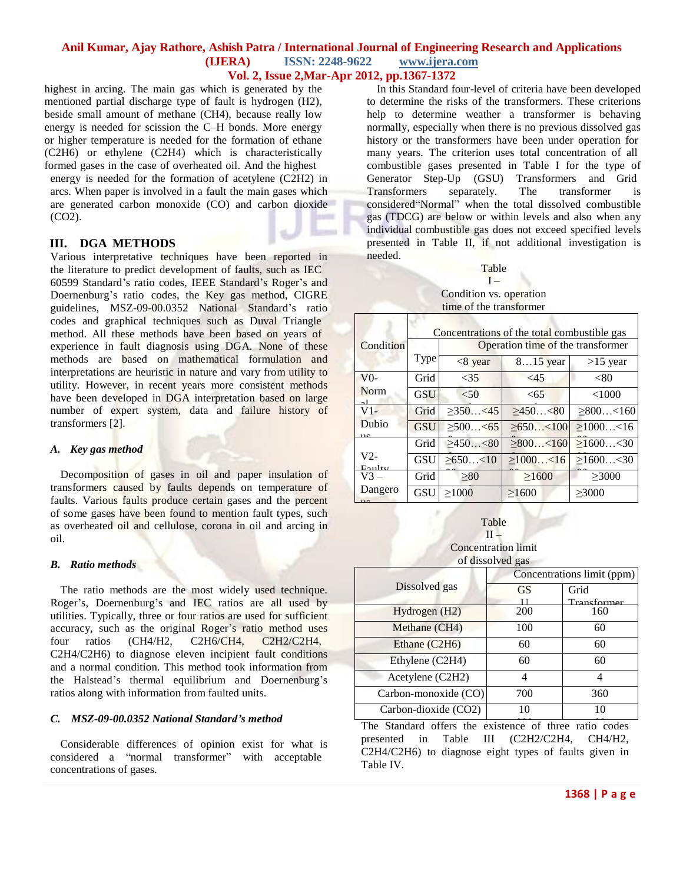### **Anil Kumar, Ajay Rathore, Ashish Patra / International Journal of Engineering Research and Applications (IJERA) ISSN: 2248-9622 www.ijera.com Vol. 2, Issue 2,Mar-Apr 2012, pp.1367-1372**

highest in arcing. The main gas which is generated by the mentioned partial discharge type of fault is hydrogen (H2), beside small amount of methane (CH4), because really low energy is needed for scission the C–H bonds. More energy or higher temperature is needed for the formation of ethane (C2H6) or ethylene (C2H4) which is characteristically formed gases in the case of overheated oil. And the highest energy is needed for the formation of acetylene (C2H2) in arcs. When paper is involved in a fault the main gases which are generated carbon monoxide (CO) and carbon dioxide (CO2).

#### **III. DGA METHODS**

Various interpretative techniques have been reported in the literature to predict development of faults, such as IEC 60599 Standard"s ratio codes, IEEE Standard"s Roger"s and Doernenburg's ratio codes, the Key gas method, CIGRE guidelines, MSZ-09-00.0352 National Standard"s ratio codes and graphical techniques such as Duval Triangle method. All these methods have been based on years of experience in fault diagnosis using DGA. None of these methods are based on mathematical formulation and interpretations are heuristic in nature and vary from utility to utility. However, in recent years more consistent methods have been developed in DGA interpretation based on large number of expert system, data and failure history of transformers [2].

#### *A. Key gas method*

Decomposition of gases in oil and paper insulation of transformers caused by faults depends on temperature of faults. Various faults produce certain gases and the percent of some gases have been found to mention fault types, such as overheated oil and cellulose, corona in oil and arcing in oil.

#### *B. Ratio methods*

The ratio methods are the most widely used technique. Roger's, Doernenburg's and IEC ratios are all used by utilities. Typically, three or four ratios are used for sufficient accuracy, such as the original Roger's ratio method uses four ratios (CH4/H2, C2H6/CH4, C2H2/C2H4, C2H4/C2H6) to diagnose eleven incipient fault conditions and a normal condition. This method took information from the Halstead's thermal equilibrium and Doernenburg's ratios along with information from faulted units.

#### *C. MSZ-09-00.0352 National Standard's method*

Considerable differences of opinion exist for what is considered a "normal transformer" with acceptable concentrations of gases.

In this Standard four-level of criteria have been developed to determine the risks of the transformers. These criterions help to determine weather a transformer is behaving normally, especially when there is no previous dissolved gas history or the transformers have been under operation for many years. The criterion uses total concentration of all combustible gases presented in Table I for the type of Generator Step-Up (GSU) Transformers and Grid Transformers separately. The transformer is considered"Normal" when the total dissolved combustible gas (TDCG) are below or within levels and also when any individual combustible gas does not exceed specified levels presented in Table II, if not additional investigation is needed.

| Table                   |
|-------------------------|
| $I -$                   |
| Condition vs. operation |
| time of the transformer |

|                              | Concentrations of the total combustible gas |                                   |              |                 |  |
|------------------------------|---------------------------------------------|-----------------------------------|--------------|-----------------|--|
| Condition                    |                                             | Operation time of the transformer |              |                 |  |
|                              | Type                                        | $<8$ year                         | $815$ year   | $>15$ year      |  |
| V <sub>0</sub>               | Grid                                        | $<$ 35                            | <45          | < 80            |  |
| Norm                         | <b>GSU</b>                                  | <50                               | <65          | < 1000          |  |
| $V1-$<br>Dubio               | Grid                                        | >350<45                           | >450<80      | $\geq 800$ <160 |  |
|                              | <b>GSU</b>                                  | $>500$ <65                        | >650<100     | $>1000{<}16$    |  |
| $V2-$<br>$E_{\alpha 11}$ lty | Grid                                        | $\geq 450<80$                     | >800<160     | >1600<30        |  |
|                              | GSU                                         | >650<10                           | $>1000{<}16$ | >1600<30        |  |
| V3 –                         | Grid                                        | > 80                              | $\geq 1600$  | >3000           |  |
| Dangero                      | GSU                                         | >1000                             | >1600        | $\geq 3000$     |  |



Concentration limit of dissolved gas

| or monoring Han      |                            |             |  |  |  |
|----------------------|----------------------------|-------------|--|--|--|
|                      | Concentrations limit (ppm) |             |  |  |  |
| Dissolved gas        | <b>GS</b>                  | Grid        |  |  |  |
|                      |                            | Transformer |  |  |  |
| Hydrogen (H2)        | 200                        | 160         |  |  |  |
| Methane (CH4)        | 100                        | 60          |  |  |  |
| Ethane (C2H6)        | 60                         | 60          |  |  |  |
| Ethylene (C2H4)      | 60                         | 60          |  |  |  |
| Acetylene (C2H2)     | 4                          | 4           |  |  |  |
| Carbon-monoxide (CO) | 700                        | 360         |  |  |  |
| Carbon-dioxide (CO2) |                            | 10          |  |  |  |

The Standard offers the existence of three ratio codes presented in Table III (C2H2/C2H4, CH4/H2, C2H4/C2H6) to diagnose eight types of faults given in Table IV.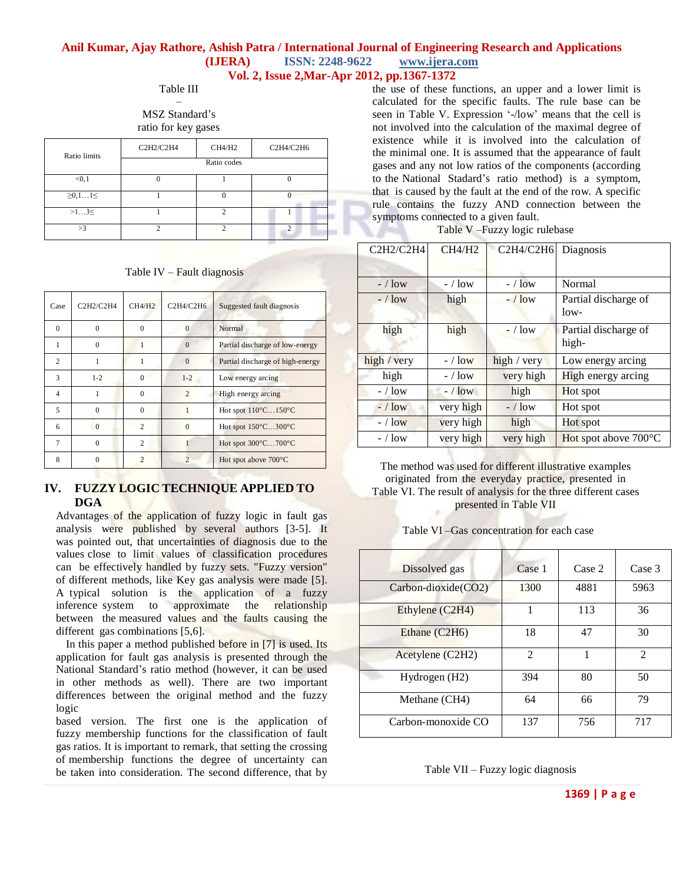### **Anil Kumar, Ajay Rathore, Ashish Patra / International Journal of Engineering Research and Applications (IJERA) ISSN: 2248-9622 www.ijera.com Vol. 2, Issue 2,Mar-Apr 2012, pp.1367-1372**

Table III –

MSZ Standard"s ratio for key gases

| Ratio limits      | C2H2/C2H4   | CH4/H2 | C2H4/C2H6 |  |
|-------------------|-------------|--------|-----------|--|
|                   | Ratio codes |        |           |  |
| < 0.1             |             |        |           |  |
| $\geq 0, 11 \leq$ |             |        |           |  |
| $>13 \leq$        |             |        |           |  |
| >3                |             | ◠      | ◠         |  |

Table IV – Fault diagnosis

| Case           | C2H2/C2H4 | CH4/H2         | C2H4/C2H6      | Suggested fault diagnosis        |
|----------------|-----------|----------------|----------------|----------------------------------|
| $\Omega$       | $\theta$  | 0              | $\Omega$       | Normal                           |
|                | $^{(1)}$  |                | $\Omega$       | Partial discharge of low-energy  |
| $\overline{c}$ |           | 1              | $\Omega$       | Partial discharge of high-energy |
| 3              | $1 - 2$   | 0              | $1 - 2$        | Low energy arcing                |
| $\overline{4}$ |           | $\theta$       | $\mathfrak{D}$ | High energy arcing               |
| 5              | 0         | $\theta$       |                | Hot spot 110°C150°C              |
| 6              | $\Omega$  | $\overline{c}$ | $\Omega$       | Hot spot 150°C300°C              |
| 7              | Ω         | $\overline{c}$ |                | Hot spot 300°C700°C              |
| 8              |           | $\mathfrak{D}$ | $\mathfrak{D}$ | Hot spot above 700°C             |

## **IV. FUZZY LOGIC TECHNIQUE APPLIED TO DGA**

Advantages of the application of fuzzy logic in fault gas analysis were published by several authors [3-5]. It was pointed out, that uncertainties of diagnosis due to the values close to limit values of classification procedures can be effectively handled by fuzzy sets. "Fuzzy version" of different methods, like Key gas analysis were made [5]. A typical solution is the application of a fuzzy inference system to approximate the relationship between the measured values and the faults causing the different gas combinations [5,6].

In this paper a method published before in [7] is used. Its application for fault gas analysis is presented through the National Standard"s ratio method (however, it can be used in other methods as well). There are two important differences between the original method and the fuzzy logic

based version. The first one is the application of fuzzy membership functions for the classification of fault gas ratios. It is important to remark, that setting the crossing of membership functions the degree of uncertainty can be taken into consideration. The second difference, that by

the use of these functions, an upper and a lower limit is calculated for the specific faults. The rule base can be seen in Table V. Expression '-/low' means that the cell is not involved into the calculation of the maximal degree of existence while it is involved into the calculation of the minimal one. It is assumed that the appearance of fault gases and any not low ratios of the components (according to the National Stadard"s ratio method) is a symptom, that is caused by the fault at the end of the row. A specific rule contains the fuzzy AND connection between the symptoms connected to a given fault.

Table V –Fuzzy logic rulebase

| C2H2/C2H4   | <b>CH4/H2</b> | C2H4/C2H6     | Diagnosis             |
|-------------|---------------|---------------|-----------------------|
|             |               |               |                       |
| $-$ / low   | $-$ / low     | $-$ / low     | Normal                |
| $-$ / low   | high          | $-$ / low     | Partial discharge of  |
|             |               |               | low-                  |
| high        | high          | $-$ / low     | Partial discharge of  |
|             |               |               | high-                 |
| high / very | $-$ / low     | high / $very$ | Low energy arcing     |
| high        | $-$ / low     | very high     | High energy arcing    |
| $-$ / low   | $-$ / low     | high          | Hot spot              |
| $-$ / low   | very high     | $-$ / low     | Hot spot              |
| $-$ / low   | very high     | high          | Hot spot              |
| $-$ / low   | very high     | very high     | Hot spot above 700 °C |

The method was used for different illustrative examples originated from the everyday practice, presented in Table VI. The result of analysis for the three different cases presented in Table VII

|  | Table VI-Gas concentration for each case |  |  |
|--|------------------------------------------|--|--|
|  |                                          |  |  |

| Dissolved gas       | Case 1         | Case 2 | Case 3         |
|---------------------|----------------|--------|----------------|
| Carbon-dioxide(CO2) | 1300           | 4881   | 5963           |
| Ethylene (C2H4)     | 1              | 113    | 36             |
| Ethane (C2H6)       | 18             | 47     | 30             |
| Acetylene (C2H2)    | $\mathfrak{D}$ | 1      | $\overline{2}$ |
| Hydrogen (H2)       | 394            | 80     | 50             |
| Methane (CH4)       | 64             | 66     | 79             |
| Carbon-monoxide CO  | 137            | 756    | 717            |

### Table VII – Fuzzy logic diagnosis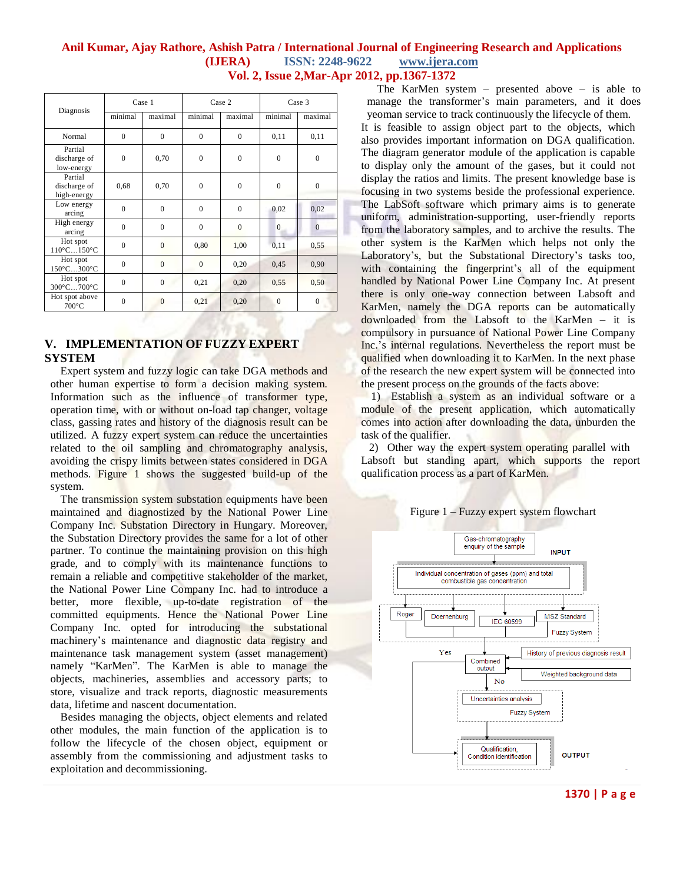#### **Anil Kumar, Ajay Rathore, Ashish Patra / International Journal of Engineering Research and Applications (IJERA) ISSN: 2248-9622 www.ijera.com Vol. 2, Issue 2,Mar-Apr 2012, pp.1367-1372**

| Diagnosis                                   | Case 1         |                | Case 2           |              | Case 3         |                |
|---------------------------------------------|----------------|----------------|------------------|--------------|----------------|----------------|
|                                             | minimal        | maximal        | minimal          | maximal      | minimal        | maximal        |
| Normal                                      | $\theta$       | $\theta$       | $\Omega$         | $\Omega$     | 0,11           | 0,11           |
| Partial<br>discharge of<br>low-energy       | $\mathbf{0}$   | 0,70           | $\mathbf{0}$     | $\mathbf{0}$ | $\theta$       | $\overline{0}$ |
| Partial<br>discharge of<br>high-energy      | 0,68           | 0,70           | $\boldsymbol{0}$ | $\mathbf{0}$ | $\theta$       | $\overline{0}$ |
| Low energy<br>arcing                        | $\overline{0}$ | $\overline{0}$ | $\mathbf{0}$     | $\mathbf{0}$ | 0,02           | 0,02           |
| High energy<br>arcing                       | $\mathbf{0}$   | $\mathbf{0}$   | $\mathbf{0}$     | $\mathbf{0}$ | $\overline{0}$ | $\overline{0}$ |
| Hot spot<br>$110^{\circ}$ C150 $^{\circ}$ C | $\mathbf{0}$   | $\mathbf{0}$   | 0,80             | 1,00         | 0,11           | 0.55           |
| Hot spot<br>150°C300°C                      | $\mathbf{0}$   | $\overline{0}$ | $\mathbf{0}$     | 0,20         | 0,45           | 0,90           |
| Hot spot<br>300°C700°C                      | $\overline{0}$ | $\overline{0}$ | 0,21             | 0,20         | 0,55           | 0,50           |
| Hot spot above<br>$700^{\circ}$ C           | $\overline{0}$ | $\mathbf{0}$   | 0,21             | 0,20         | $\mathbf{0}$   | $\mathbf{0}$   |

## **V. IMPLEMENTATION OF FUZZY EXPERT SYSTEM**

Expert system and fuzzy logic can take DGA methods and other human expertise to form a decision making system. Information such as the influence of transformer type, operation time, with or without on-load tap changer, voltage class, gassing rates and history of the diagnosis result can be utilized. A fuzzy expert system can reduce the uncertainties related to the oil sampling and chromatography analysis, avoiding the crispy limits between states considered in DGA methods. Figure 1 shows the suggested build-up of the system.

The transmission system substation equipments have been maintained and diagnostized by the National Power Line Company Inc. Substation Directory in Hungary. Moreover, the Substation Directory provides the same for a lot of other partner. To continue the maintaining provision on this high grade, and to comply with its maintenance functions to remain a reliable and competitive stakeholder of the market, the National Power Line Company Inc. had to introduce a better, more flexible, up-to-date registration of the committed equipments. Hence the National Power Line Company Inc. opted for introducing the substational machinery"s maintenance and diagnostic data registry and maintenance task management system (asset management) namely "KarMen". The KarMen is able to manage the objects, machineries, assemblies and accessory parts; to store, visualize and track reports, diagnostic measurements data, lifetime and nascent documentation.

Besides managing the objects, object elements and related other modules, the main function of the application is to follow the lifecycle of the chosen object, equipment or assembly from the commissioning and adjustment tasks to exploitation and decommissioning.

The KarMen system – presented above – is able to manage the transformer's main parameters, and it does

yeoman service to track continuously the lifecycle of them. It is feasible to assign object part to the objects, which also provides important information on DGA qualification. The diagram generator module of the application is capable to display only the amount of the gases, but it could not display the ratios and limits. The present knowledge base is focusing in two systems beside the professional experience. The LabSoft software which primary aims is to generate uniform, administration-supporting, user-friendly reports from the laboratory samples, and to archive the results. The other system is the KarMen which helps not only the Laboratory's, but the Substational Directory's tasks too, with containing the fingerprint's all of the equipment handled by National Power Line Company Inc. At present there is only one-way connection between Labsoft and KarMen, namely the DGA reports can be automatically downloaded from the Labsoft to the KarMen – it is compulsory in pursuance of National Power Line Company Inc.'s internal regulations. Nevertheless the report must be qualified when downloading it to KarMen. In the next phase of the research the new expert system will be connected into the present process on the grounds of the facts above:

1) Establish a system as an individual software or a module of the present application, which automatically comes into action after downloading the data, unburden the task of the qualifier.

2) Other way the expert system operating parallel with Labsoft but standing apart, which supports the report qualification process as a part of KarMen.



**1370 | P a g e**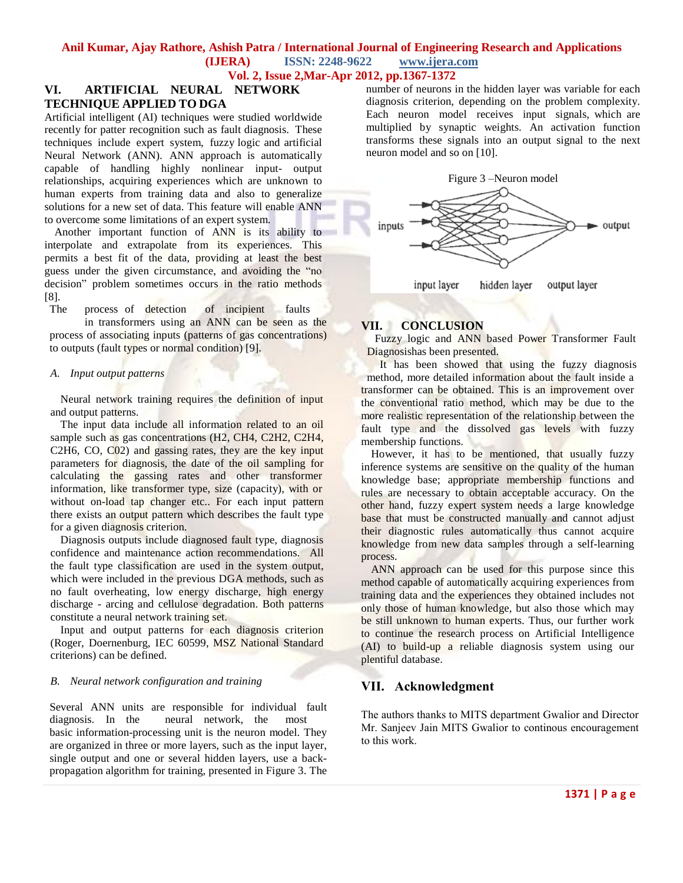# **Anil Kumar, Ajay Rathore, Ashish Patra / International Journal of Engineering Research and Applications (IJERA) ISSN: 2248-9622 www.ijera.com**

# **Vol. 2, Issue 2,Mar-Apr 2012, pp.1367-1372**

## **VI. ARTIFICIAL NEURAL NETWORK TECHNIQUE APPLIED TO DGA**

Artificial intelligent (AI) techniques were studied worldwide recently for patter recognition such as fault diagnosis. These techniques include expert system, fuzzy logic and artificial Neural Network (ANN). ANN approach is automatically capable of handling highly nonlinear input- output relationships, acquiring experiences which are unknown to human experts from training data and also to generalize solutions for a new set of data. This feature will enable ANN to overcome some limitations of an expert system.

Another important function of ANN is its ability to interpolate and extrapolate from its experiences. This permits a best fit of the data, providing at least the best guess under the given circumstance, and avoiding the "no decision" problem sometimes occurs in the ratio methods [8].

The process of detection of incipient faults

in transformers using an ANN can be seen as the process of associating inputs (patterns of gas concentrations) to outputs (fault types or normal condition) [9].

### *A. Input output patterns*

Neural network training requires the definition of input and output patterns.

The input data include all information related to an oil sample such as gas concentrations (H2, CH4, C2H2, C2H4, C2H6, CO, C02) and gassing rates, they are the key input parameters for diagnosis, the date of the oil sampling for calculating the gassing rates and other transformer information, like transformer type, size (capacity), with or without on-load tap changer etc.. For each input pattern there exists an output pattern which describes the fault type for a given diagnosis criterion.

Diagnosis outputs include diagnosed fault type, diagnosis confidence and maintenance action recommendations. All the fault type classification are used in the system output, which were included in the previous DGA methods, such as no fault overheating, low energy discharge, high energy discharge - arcing and cellulose degradation. Both patterns constitute a neural network training set.

Input and output patterns for each diagnosis criterion (Roger, Doernenburg, IEC 60599, MSZ National Standard criterions) can be defined.

### *B. Neural network configuration and training*

Several ANN units are responsible for individual fault diagnosis. In the neural network, the most basic information-processing unit is the neuron model. They are organized in three or more layers, such as the input layer, single output and one or several hidden layers, use a backpropagation algorithm for training, presented in Figure 3. The

number of neurons in the hidden layer was variable for each diagnosis criterion, depending on the problem complexity. Each neuron model receives input signals, which are multiplied by synaptic weights. An activation function transforms these signals into an output signal to the next neuron model and so on [10].



## **VII. CONCLUSION**

Fuzzy logic and ANN based Power Transformer Fault Diagnosishas been presented.

It has been showed that using the fuzzy diagnosis method, more detailed information about the fault inside a transformer can be obtained. This is an improvement over the conventional ratio method, which may be due to the more realistic representation of the relationship between the fault type and the dissolved gas levels with fuzzy membership functions.

However, it has to be mentioned, that usually fuzzy inference systems are sensitive on the quality of the human knowledge base; appropriate membership functions and rules are necessary to obtain acceptable accuracy. On the other hand, fuzzy expert system needs a large knowledge base that must be constructed manually and cannot adjust their diagnostic rules automatically thus cannot acquire knowledge from new data samples through a self-learning process.

ANN approach can be used for this purpose since this method capable of automatically acquiring experiences from training data and the experiences they obtained includes not only those of human knowledge, but also those which may be still unknown to human experts. Thus, our further work to continue the research process on Artificial Intelligence (AI) to build-up a reliable diagnosis system using our plentiful database.

# **VII. Acknowledgment**

The authors thanks to MITS department Gwalior and Director Mr. Sanjeev Jain MITS Gwalior to continous encouragement to this work.